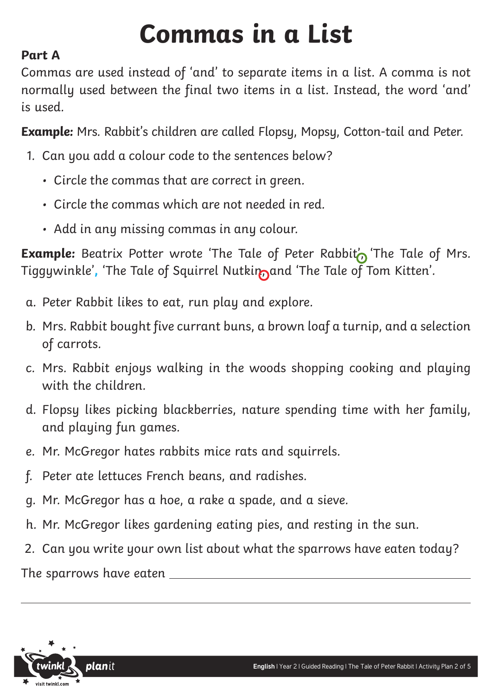# **Commas in a List**

# **Part A**

Commas are used instead of 'and' to separate items in a list. A comma is not normally used between the final two items in a list. Instead, the word 'and' is used.

**Example:** Mrs. Rabbit's children are called Flopsy, Mopsy, Cotton-tail and Peter.

- 1. Can you add a colour code to the sentences below?
	- Circle the commas that are correct in green.
	- Circle the commas which are not needed in red.
	- Add in any missing commas in any colour.

**Example:** Beatrix Potter wrote 'The Tale of Peter Rabbit' The Tale of Mrs. Tiggywinkle', 'The Tale of Squirrel Nutkin<sub>n</sub>and 'The Tale of Tom Kitten'.

- a. Peter Rabbit likes to eat, run play and explore.
- b. Mrs. Rabbit bought five currant buns, a brown loaf a turnip, and a selection of carrots.
- c. Mrs. Rabbit enjoys walking in the woods shopping cooking and playing with the children.
- d. Flopsy likes picking blackberries, nature spending time with her family, and playing fun games.
- e. Mr. McGregor hates rabbits mice rats and squirrels.
- f. Peter ate lettuces French beans, and radishes.
- g. Mr. McGregor has a hoe, a rake a spade, and a sieve.
- h. Mr. McGregor likes gardening eating pies, and resting in the sun.
- 2. Can you write your own list about what the sparrows have eaten today?

The sparrows have eaten

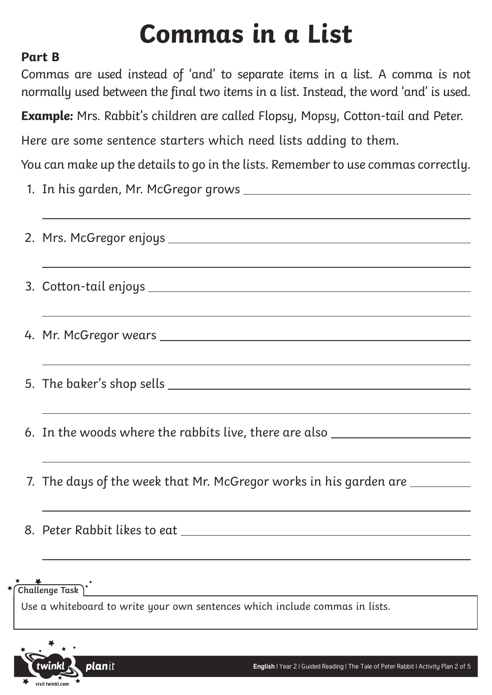# **Commas in a List**

### **Part B**

Commas are used instead of 'and' to separate items in a list. A comma is not normally used between the final two items in a list. Instead, the word 'and' is used.

**Example:** Mrs. Rabbit's children are called Flopsy, Mopsy, Cotton-tail and Peter.

Here are some sentence starters which need lists adding to them.

You can make up the details to go in the lists. Remember to use commas correctly.

1. In his garden, Mr. McGregor grows

| <u> 1999 - Johann Harry Harry Harry Harry Harry Harry Harry Harry Harry Harry Harry Harry Harry Harry Harry Harry</u> |
|-----------------------------------------------------------------------------------------------------------------------|
|                                                                                                                       |
| ,我们也不能在这里的时候,我们也不能在这里的时候,我们也不能会在这里的时候,我们也不能会在这里的时候,我们也不能会在这里的时候,我们也不能会在这里的时候,我们也                                      |
|                                                                                                                       |
|                                                                                                                       |
|                                                                                                                       |
|                                                                                                                       |
| 6. In the woods where the rabbits live, there are also _________________________                                      |
| <u> 1989 - Jan Samuel Barbara, margaret a shekara ta 1989 - Andrea Samuel Barbara, marka ta 1989 - Andrea Samuel</u>  |
| 7. The days of the week that Mr. McGregor works in his garden are _________                                           |
| ,我们也不会有什么。""我们的人,我们也不会有什么?""我们的人,我们也不会有什么?""我们的人,我们也不会有什么?""我们的人,我们也不会有什么?""我们的人                                      |
|                                                                                                                       |
|                                                                                                                       |
|                                                                                                                       |

# **Challenge Task**

Use a whiteboard to write your own sentences which include commas in lists.